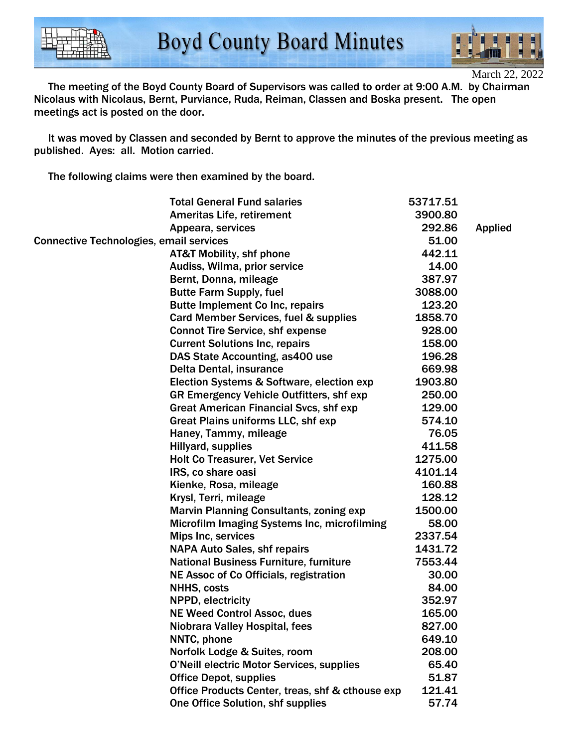

March 22, 2022

 The meeting of the Boyd County Board of Supervisors was called to order at 9:00 A.M. by Chairman Nicolaus with Nicolaus, Bernt, Purviance, Ruda, Reiman, Classen and Boska present. The open meetings act is posted on the door.

 It was moved by Classen and seconded by Bernt to approve the minutes of the previous meeting as published. Ayes: all. Motion carried.

The following claims were then examined by the board.

|                                                | <b>Total General Fund salaries</b>               | 53717.51 |                |
|------------------------------------------------|--------------------------------------------------|----------|----------------|
|                                                | <b>Ameritas Life, retirement</b>                 | 3900.80  |                |
|                                                | Appeara, services                                | 292.86   | <b>Applied</b> |
| <b>Connective Technologies, email services</b> |                                                  | 51.00    |                |
|                                                | <b>AT&amp;T Mobility, shf phone</b>              | 442.11   |                |
|                                                | Audiss, Wilma, prior service                     | 14.00    |                |
|                                                | Bernt, Donna, mileage                            | 387.97   |                |
|                                                | <b>Butte Farm Supply, fuel</b>                   | 3088.00  |                |
|                                                | <b>Butte Implement Co Inc, repairs</b>           | 123.20   |                |
|                                                | Card Member Services, fuel & supplies            | 1858.70  |                |
|                                                | <b>Connot Tire Service, shf expense</b>          | 928.00   |                |
|                                                | <b>Current Solutions Inc, repairs</b>            | 158.00   |                |
|                                                | DAS State Accounting, as 400 use                 | 196.28   |                |
|                                                | Delta Dental, insurance                          | 669.98   |                |
|                                                | Election Systems & Software, election exp        | 1903.80  |                |
|                                                | GR Emergency Vehicle Outfitters, shf exp         | 250.00   |                |
|                                                | <b>Great American Financial Svcs, shf exp</b>    | 129.00   |                |
|                                                | Great Plains uniforms LLC, shf exp               | 574.10   |                |
|                                                | Haney, Tammy, mileage                            | 76.05    |                |
|                                                | Hillyard, supplies                               | 411.58   |                |
|                                                | <b>Holt Co Treasurer, Vet Service</b>            | 1275.00  |                |
|                                                | IRS, co share oasi                               | 4101.14  |                |
|                                                | Kienke, Rosa, mileage                            | 160.88   |                |
|                                                | Krysl, Terri, mileage                            | 128.12   |                |
|                                                | <b>Marvin Planning Consultants, zoning exp</b>   | 1500.00  |                |
|                                                | Microfilm Imaging Systems Inc, microfilming      | 58.00    |                |
|                                                | Mips Inc, services                               | 2337.54  |                |
|                                                | <b>NAPA Auto Sales, shf repairs</b>              | 1431.72  |                |
|                                                | <b>National Business Furniture, furniture</b>    | 7553.44  |                |
|                                                | NE Assoc of Co Officials, registration           | 30.00    |                |
|                                                | <b>NHHS, costs</b>                               | 84.00    |                |
|                                                | NPPD, electricity                                | 352.97   |                |
|                                                | <b>NE Weed Control Assoc, dues</b>               | 165.00   |                |
|                                                | Niobrara Valley Hospital, fees                   | 827.00   |                |
|                                                | NNTC, phone                                      | 649.10   |                |
|                                                | Norfolk Lodge & Suites, room                     | 208.00   |                |
|                                                | <b>O'Neill electric Motor Services, supplies</b> | 65.40    |                |
|                                                | <b>Office Depot, supplies</b>                    | 51.87    |                |
|                                                | Office Products Center, treas, shf & cthouse exp | 121.41   |                |
|                                                | One Office Solution, shf supplies                | 57.74    |                |
|                                                |                                                  |          |                |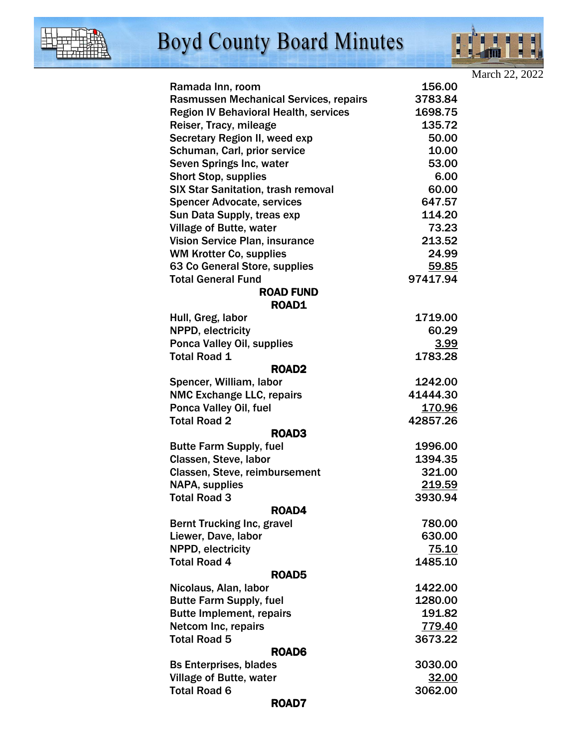



|                                                                   |                   | March 22, 2022 |
|-------------------------------------------------------------------|-------------------|----------------|
| Ramada Inn, room                                                  | 156.00            |                |
| Rasmussen Mechanical Services, repairs                            | 3783.84           |                |
| <b>Region IV Behavioral Health, services</b>                      | 1698.75           |                |
| Reiser, Tracy, mileage                                            | 135.72            |                |
| Secretary Region II, weed exp                                     | 50.00             |                |
| Schuman, Carl, prior service                                      | 10.00             |                |
| Seven Springs Inc, water                                          | 53.00             |                |
| <b>Short Stop, supplies</b>                                       | 6.00              |                |
| <b>SIX Star Sanitation, trash removal</b>                         | 60.00             |                |
| <b>Spencer Advocate, services</b>                                 | 647.57            |                |
| Sun Data Supply, treas exp                                        | 114.20            |                |
| <b>Village of Butte, water</b>                                    | 73.23             |                |
| <b>Vision Service Plan, insurance</b>                             | 213.52            |                |
| <b>WM Krotter Co, supplies</b>                                    | 24.99             |                |
| 63 Co General Store, supplies                                     | 59.85             |                |
| <b>Total General Fund</b>                                         | 97417.94          |                |
| <b>ROAD FUND</b>                                                  |                   |                |
| <b>ROAD1</b>                                                      |                   |                |
| Hull, Greg, labor                                                 | 1719.00           |                |
| NPPD, electricity                                                 | 60.29             |                |
| Ponca Valley Oil, supplies                                        | <u>3.99</u>       |                |
| <b>Total Road 1</b>                                               | 1783.28           |                |
| ROAD <sub>2</sub>                                                 |                   |                |
| Spencer, William, labor                                           | 1242.00           |                |
| <b>NMC Exchange LLC, repairs</b>                                  | 41444.30          |                |
| Ponca Valley Oil, fuel                                            | <u>170.96</u>     |                |
| <b>Total Road 2</b>                                               | 42857.26          |                |
| ROAD3                                                             |                   |                |
| <b>Butte Farm Supply, fuel</b>                                    | 1996.00           |                |
| Classen, Steve, labor                                             | 1394.35           |                |
| Classen, Steve, reimbursement                                     | 321.00            |                |
| <b>NAPA, supplies</b>                                             | 219.59            |                |
| <b>Total Road 3</b>                                               | 3930.94           |                |
| ROAD4                                                             |                   |                |
| <b>Bernt Trucking Inc, gravel</b>                                 | 780.00            |                |
| Liewer, Dave, labor                                               | 630.00            |                |
| NPPD, electricity                                                 | <u>75.10</u>      |                |
| <b>Total Road 4</b>                                               | 1485.10           |                |
| ROAD <sub>5</sub>                                                 | 1422.00           |                |
| Nicolaus, Alan, labor                                             | 1280.00           |                |
| <b>Butte Farm Supply, fuel</b><br><b>Butte Implement, repairs</b> |                   |                |
|                                                                   | 191.82            |                |
| Netcom Inc, repairs<br><b>Total Road 5</b>                        | 779.40<br>3673.22 |                |
|                                                                   |                   |                |
| ROAD6                                                             |                   |                |
| <b>Bs Enterprises, blades</b>                                     | 3030.00           |                |
| <b>Village of Butte, water</b><br><b>Total Road 6</b>             | 32.00<br>3062.00  |                |
| ROAD7                                                             |                   |                |
|                                                                   |                   |                |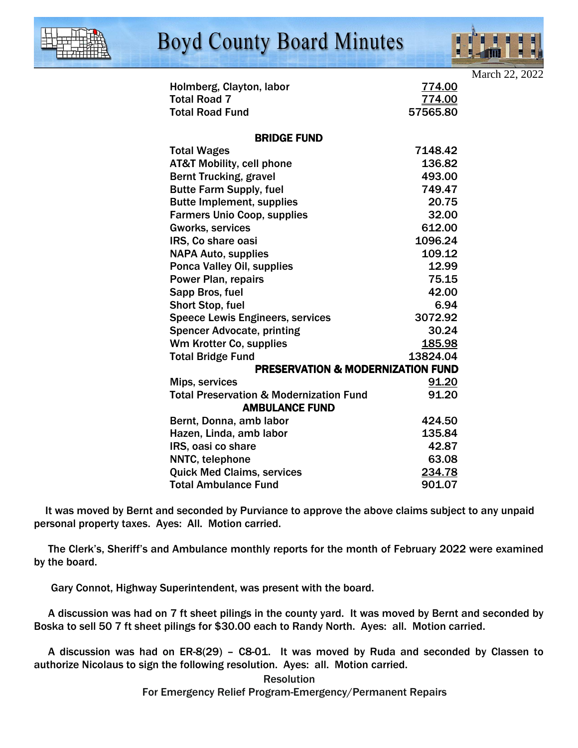

## **Boyd County Board Minutes**



| Holmberg, Clayton, labor                           | 774.00   |  |  |  |
|----------------------------------------------------|----------|--|--|--|
| <b>Total Road 7</b>                                | 774.00   |  |  |  |
| <b>Total Road Fund</b>                             | 57565.80 |  |  |  |
| <b>BRIDGE FUND</b>                                 |          |  |  |  |
| <b>Total Wages</b>                                 | 7148.42  |  |  |  |
| <b>AT&amp;T Mobility, cell phone</b>               | 136.82   |  |  |  |
| <b>Bernt Trucking, gravel</b>                      | 493.00   |  |  |  |
| <b>Butte Farm Supply, fuel</b>                     | 749.47   |  |  |  |
| <b>Butte Implement, supplies</b>                   | 20.75    |  |  |  |
| <b>Farmers Unio Coop, supplies</b>                 | 32.00    |  |  |  |
| <b>Gworks, services</b>                            | 612.00   |  |  |  |
| IRS, Co share oasi                                 | 1096.24  |  |  |  |
| <b>NAPA Auto, supplies</b>                         | 109.12   |  |  |  |
| Ponca Valley Oil, supplies                         | 12.99    |  |  |  |
| <b>Power Plan, repairs</b>                         | 75.15    |  |  |  |
| Sapp Bros, fuel                                    | 42.00    |  |  |  |
| <b>Short Stop, fuel</b>                            | 6.94     |  |  |  |
| <b>Speece Lewis Engineers, services</b>            | 3072.92  |  |  |  |
| <b>Spencer Advocate, printing</b>                  | 30.24    |  |  |  |
| Wm Krotter Co, supplies                            | 185.98   |  |  |  |
| <b>Total Bridge Fund</b>                           | 13824.04 |  |  |  |
| <b>PRESERVATION &amp; MODERNIZATION FUND</b>       |          |  |  |  |
| Mips, services                                     | 91.20    |  |  |  |
| <b>Total Preservation &amp; Modernization Fund</b> | 91.20    |  |  |  |
| <b>AMBULANCE FUND</b>                              |          |  |  |  |
| Bernt, Donna, amb labor                            | 424.50   |  |  |  |
| Hazen, Linda, amb labor                            | 135.84   |  |  |  |
| IRS, oasi co share                                 | 42.87    |  |  |  |
| NNTC, telephone                                    | 63.08    |  |  |  |
| <b>Quick Med Claims, services</b>                  | 234.78   |  |  |  |
| <b>Total Ambulance Fund</b>                        | 901.07   |  |  |  |

 It was moved by Bernt and seconded by Purviance to approve the above claims subject to any unpaid personal property taxes. Ayes: All. Motion carried.

 The Clerk's, Sheriff's and Ambulance monthly reports for the month of February 2022 were examined by the board.

Gary Connot, Highway Superintendent, was present with the board.

 A discussion was had on 7 ft sheet pilings in the county yard. It was moved by Bernt and seconded by Boska to sell 50 7 ft sheet pilings for \$30.00 each to Randy North. Ayes: all. Motion carried.

 A discussion was had on ER-8(29) – C8-01. It was moved by Ruda and seconded by Classen to authorize Nicolaus to sign the following resolution. Ayes: all. Motion carried.

> **Resolution** For Emergency Relief Program-Emergency/Permanent Repairs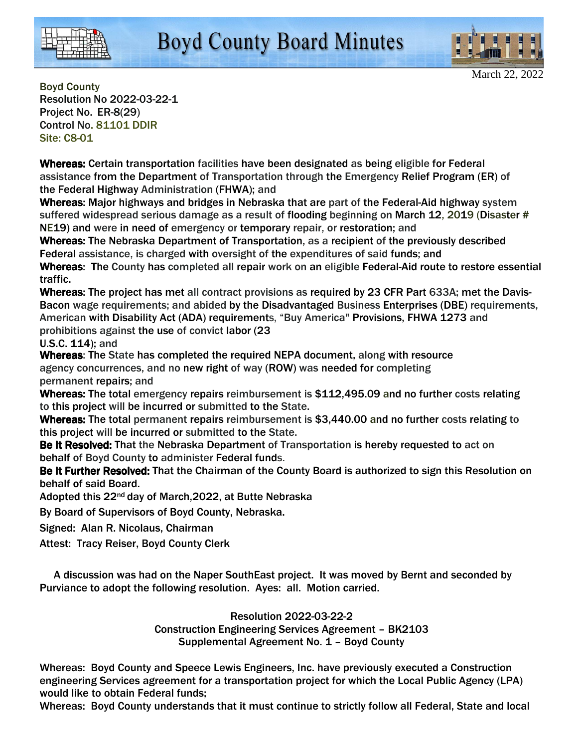



Boyd County Resolution No 2022-03-22-1 Project No. ER-8(29) Control No. 81101 DDIR Site: C8-01

Whereas: Certain transportation facilities have been designated as being eligible for Federal assistance from the Department of Transportation through the Emergency Relief Program (ER) of the Federal Highway Administration (FHWA); and

Whereas: Major highways and bridges in Nebraska that are part of the Federal-Aid highway system suffered widespread serious damage as a result of flooding beginning on March 12, 2019 (Disaster # NE19) and were in need of emergency or temporary repair, or restoration; and

Whereas: The Nebraska Department of Transportation, as a recipient of the previously described Federal assistance, is charged with oversight of the expenditures of said funds; and

Whereas: The County has completed all repair work on an eligible Federal-Aid route to restore essential traffic.

Whereas: The project has met all contract provisions as required by 23 CFR Part 633A; met the Davis-Bacon wage requirements; and abided by the Disadvantaged Business Enterprises (DBE) requirements, American with Disability Act (ADA) requirements, "Buy America" Provisions, FHWA 1273 and prohibitions against the use of convict labor (23

U.S.C. 114); and

Whereas: The State has completed the required NEPA document, along with resource agency concurrences, and no new right of way (ROW) was needed for completing permanent repairs; and

Whereas: The total emergency repairs reimbursement is \$112,495.09 and no further costs relating to this project will be incurred or submitted to the State.

Whereas: The total permanent repairs reimbursement is \$3,440.00 and no further costs relating to this project will be incurred or submitted to the State.

Be It Resolved: That the Nebraska Department of Transportation is hereby requested to act on behalf of Boyd County to administer Federal funds.

Be It Further Resolved: That the Chairman of the County Board is authorized to sign this Resolution on behalf of said Board.

Adopted this 22nd day of March,2022, at Butte Nebraska

By Board of Supervisors of Boyd County, Nebraska.

Signed: Alan R. Nicolaus, Chairman

Attest: Tracy Reiser, Boyd County Clerk

 A discussion was had on the Naper SouthEast project. It was moved by Bernt and seconded by Purviance to adopt the following resolution. Ayes: all. Motion carried.

> Resolution 2022-03-22-2 Construction Engineering Services Agreement – BK2103 Supplemental Agreement No. 1 – Boyd County

Whereas: Boyd County and Speece Lewis Engineers, Inc. have previously executed a Construction engineering Services agreement for a transportation project for which the Local Public Agency (LPA) would like to obtain Federal funds;

Whereas: Boyd County understands that it must continue to strictly follow all Federal, State and local